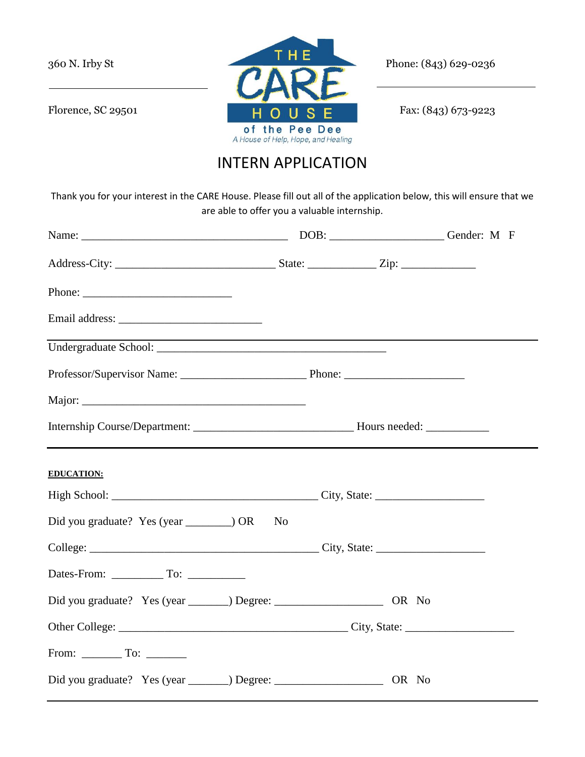

## INTERN APPLICATION

Thank you for your interest in the CARE House. Please fill out all of the application below, this will ensure that we are able to offer you a valuable internship.

| Name: Cender: M F                                                                          |                |  |  |
|--------------------------------------------------------------------------------------------|----------------|--|--|
|                                                                                            |                |  |  |
| Phone:                                                                                     |                |  |  |
| Email address:                                                                             |                |  |  |
|                                                                                            |                |  |  |
|                                                                                            |                |  |  |
|                                                                                            |                |  |  |
|                                                                                            |                |  |  |
| <b>EDUCATION:</b>                                                                          |                |  |  |
| High School: City, State:                                                                  |                |  |  |
|                                                                                            | N <sub>0</sub> |  |  |
|                                                                                            |                |  |  |
|                                                                                            |                |  |  |
| Did you graduate? Yes (year ________) Degree: __________________________________ OR No     |                |  |  |
|                                                                                            |                |  |  |
| From: $\begin{array}{c} \begin{array}{c} \text{Toc} \\ \text{Soc} \end{array} \end{array}$ |                |  |  |
| Did you graduate? Yes (year _________) Degree: __________________________________ OR No    |                |  |  |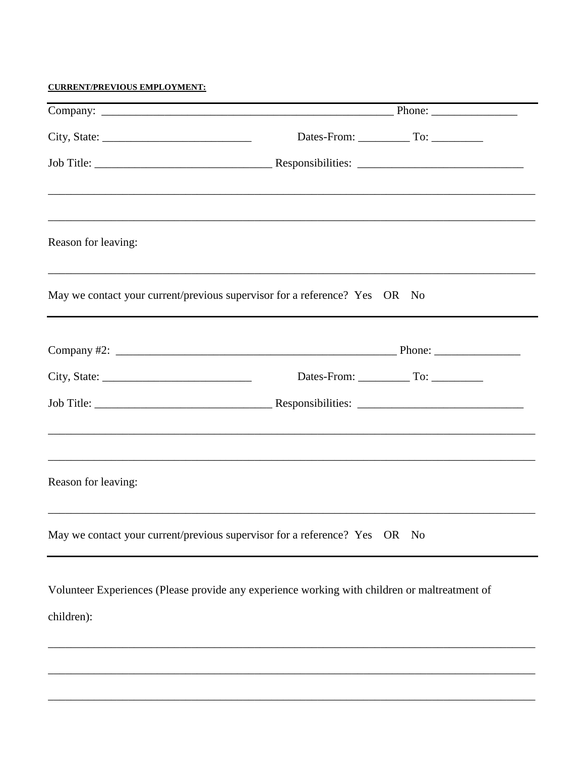**CURRENT/PREVIOUS EMPLOYMENT:** 

| Reason for leaving: | ,我们也不能在这里的人,我们也不能在这里的人,我们也不能在这里的人,我们也不能在这里的人,我们也不能在这里的人,我们也不能在这里的人,我们也不能在这里的人,我们也             |
|---------------------|-----------------------------------------------------------------------------------------------|
|                     | May we contact your current/previous supervisor for a reference? Yes OR No                    |
|                     |                                                                                               |
| City, State: $\_\_$ |                                                                                               |
|                     | Responsibilities:                                                                             |
| Reason for leaving: |                                                                                               |
|                     | May we contact your current/previous supervisor for a reference? Yes<br>OR No                 |
|                     | Volunteer Experiences (Please provide any experience working with children or maltreatment of |

children):